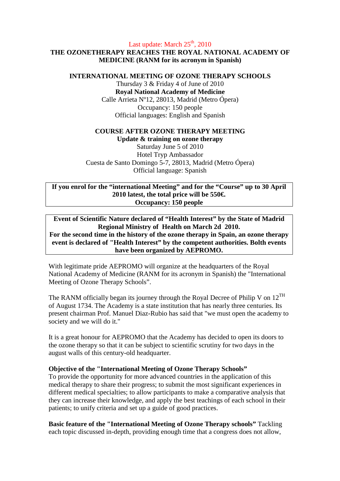## Last update: March  $25<sup>th</sup>$ , 2010

# **THE OZONETHERAPY REACHES THE ROYAL NATIONAL ACADEMY OF MEDICINE (RANM for its acronym in Spanish)**

#### **INTERNATIONAL MEETING OF OZONE THERAPY SCHOOLS**

Thursday 3 & Friday 4 of June of 2010 **Royal National Academy of Medicine**  Calle Arrieta Nº12, 28013, Madrid (Metro Ópera) Occupancy: 150 people Official languages: English and Spanish

## **COURSE AFTER OZONE THERAPY MEETING**

**Update & training on ozone therapy**  Saturday June 5 of 2010 Hotel Tryp Ambassador Cuesta de Santo Domingo 5-7, 28013, Madrid (Metro Ópera) Official language: Spanish

**If you enrol for the "international Meeting" and for the "Course" up to 30 April 2010 latest, the total price will be 550€. Occupancy: 150 people** 

## **Event of Scientific Nature declared of "Health Interest" by the State of Madrid Regional Ministry of Health on March 2d 2010. For the second time in the history of the ozone therapy in Spain, an ozone therapy event is declared of "Health Interest" by the competent authorities. Bolth events have been organized by AEPROMO.**

With legitimate pride AEPROMO will organize at the headquarters of the Royal National Academy of Medicine (RANM for its acronym in Spanish) the "International Meeting of Ozone Therapy Schools".

The RANM officially began its journey through the Royal Decree of Philip V on  $12^{TH}$ of August 1734. The Academy is a state institution that has nearly three centuries. Its present chairman Prof. Manuel Diaz-Rubio has said that "we must open the academy to society and we will do it."

It is a great honour for AEPROMO that the Academy has decided to open its doors to the ozone therapy so that it can be subject to scientific scrutiny for two days in the august walls of this century-old headquarter.

# **Objective of the "International Meeting of Ozone Therapy Schools"**

To provide the opportunity for more advanced countries in the application of this medical therapy to share their progress; to submit the most significant experiences in different medical specialties; to allow participants to make a comparative analysis that they can increase their knowledge, and apply the best teachings of each school in their patients; to unify criteria and set up a guide of good practices.

**Basic feature of the "International Meeting of Ozone Therapy schools"** Tackling each topic discussed in-depth, providing enough time that a congress does not allow,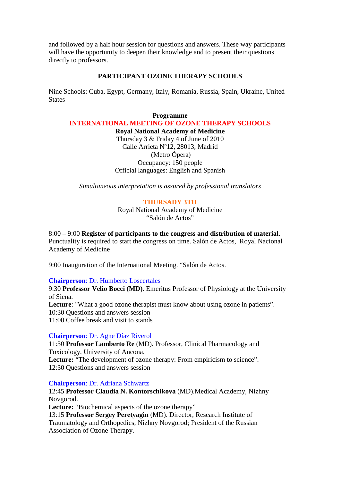and followed by a half hour session for questions and answers. These way participants will have the opportunity to deepen their knowledge and to present their questions directly to professors.

## **PARTICIPANT OZONE THERAPY SCHOOLS**

Nine Schools: Cuba, Egypt, Germany, Italy, Romania, Russia, Spain, Ukraine, United **States** 

**Programme INTERNATIONAL MEETING OF OZONE THERAPY SCHOOLS** 

**Royal National Academy of Medicine**  Thursday 3 & Friday 4 of June of 2010 Calle Arrieta Nº12, 28013, Madrid (Metro Ópera) Occupancy: 150 people Official languages: English and Spanish

*Simultaneous interpretation is assured by professional translators* 

# **THURSADY 3TH**

Royal National Academy of Medicine "Salón de Actos"

8:00 – 9:00 **Register of participants to the congress and distribution of material**. Punctuality is required to start the congress on time. Salón de Actos, Royal Nacional Academy of Medicine

9:00 Inauguration of the International Meeting. "Salón de Actos.

### **Chairperson**: Dr. Humberto Loscertales

9:30 **Professor Velio Bocci (MD).** Emeritus Professor of Physiology at the University of Siena. Lecture: "What a good ozone therapist must know about using ozone in patients". 10:30 Questions and answers session 11:00 Coffee break and visit to stands

### **Chairperson**: Dr. Agne Díaz Riverol

11:30 **Professor Lamberto Re** (MD). Professor, Clinical Pharmacology and Toxicology, University of Ancona. Lecture: "The development of ozone therapy: From empiricism to science". 12:30 Questions and answers session

### **Chairperson**: Dr. Adriana Schwartz

12:45 **Professor Claudia N. Kontorschikova** (MD).Medical Academy, Nizhny Novgorod.

Lecture: "Biochemical aspects of the ozone therapy"

13:15 **Professor Sergey Peretyagin** (MD). Director, Research Institute of Traumatology and Orthopedics, Nizhny Novgorod; President of the Russian Association of Ozone Therapy.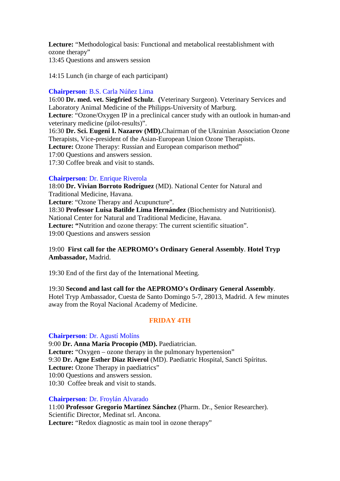**Lecture:** "Methodological basis: Functional and metabolical reestablishment with ozone therapy"

13:45 Questions and answers session

14:15 Lunch (in charge of each participant)

## **Chairperson**: B.S. Carla Núñez Lima

16:00 **Dr. med. vet. Siegfried Schulz**. **(**Veterinary Surgeon). Veterinary Services and Laboratory Animal Medicine of the Philipps-University of Marburg. **Lecture**: "Ozone/Oxygen IP in a preclinical cancer study with an outlook in human-and veterinary medicine (pilot-results)".

16:30 **Dr. Sci. Eugeni I. Nazarov (MD).**Chairman of the Ukrainian Association Ozone Therapists, Vice-president of the Asian-European Union Ozone Therapists. **Lecture:** Ozone Therapy: Russian and European comparison method"

17:00 Questions and answers session.

17:30 Coffee break and visit to stands.

# **Chairperson**: Dr. Enrique Riverola

18:00 **Dr. Vivian Borroto Rodríguez** (MD). National Center for Natural and Traditional Medicine, Havana. **Lecture**: "Ozone Therapy and Acupuncture". 18:30 **Professor Luisa Batilde Lima Hernández** (Biochemistry and Nutritionist). National Center for Natural and Traditional Medicine, Havana. **Lecture: "**Nutrition and ozone therapy: The current scientific situation". 19:00 Questions and answers session

# 19:00 **First call for the AEPROMO's Ordinary General Assembly**. **Hotel Tryp Ambassador,** Madrid.

19:30 End of the first day of the International Meeting.

19:30 **Second and last call for the AEPROMO's Ordinary General Assembly**. Hotel Tryp Ambassador, Cuesta de Santo Domingo 5-7, 28013, Madrid. A few minutes away from the Royal Nacional Academy of Medicine.

# **FRIDAY 4TH**

### **Chairperson**: Dr. Agustí Molíns

9:00 **Dr. Anna María Procopio (MD).** Paediatrician. Lecture: "Oxygen – ozone therapy in the pulmonary hypertension" 9:30 **Dr. Agne Esther Diaz Riverol** (MD). Paediatric Hospital, Sancti Spíritus. Lecture: Ozone Therapy in paediatrics" 10:00 Questions and answers session. 10:30 Coffee break and visit to stands.

### **Chairperson**: Dr. Froylán Alvarado

11:00 **Professor Gregorio Martínez Sánchez** (Pharm. Dr., Senior Researcher). Scientific Director, Medinat srl. Ancona. **Lecture:** "Redox diagnostic as main tool in ozone therapy"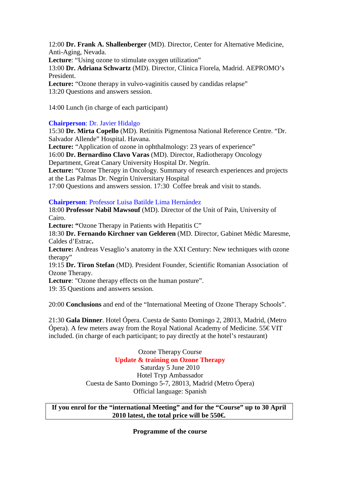12:00 **Dr. Frank A. Shallenberger** (MD). Director, Center for Alternative Medicine, Anti-Aging, Nevada.

Lecture: "Using ozone to stimulate oxygen utilization"

13:00 **Dr. Adriana Schwartz** (MD). Director, Clínica Fiorela, Madrid. AEPROMO's President.

**Lecture:** "Ozone therapy in vulvo-vaginitis caused by candidas relapse" 13:20 Questions and answers session.

14:00 Lunch (in charge of each participant)

# **Chairperson**: Dr. Javier Hidalgo

15:30 **Dr. Mirta Copello** (MD). Retinitis Pigmentosa National Reference Centre. "Dr. Salvador Allende" Hospital. Havana.

Lecture: "Application of ozone in ophthalmology: 23 years of experience"

16:00 **Dr. Bernardino Clavo Varas** (MD). Director, Radiotherapy Oncology Department, Great Canary University Hospital Dr. Negrín.

Lecture: "Ozone Therapy in Oncology. Summary of research experiences and projects at the Las Palmas Dr. Negrín Universitary Hospital

17:00 Questions and answers session. 17:30 Coffee break and visit to stands.

# **Chairperson**: Professor Luisa Batilde Lima Hernández

18:00 **Professor Nabil Mawsouf** (MD). Director of the Unit of Pain, University of Cairo.

Lecture: "Ozone Therapy in Patients with Hepatitis C"

18:30 **Dr. Fernando Kirchner van Gelderen** (MD. Director, Gabinet Mèdic Maresme, Caldes d'Estrac**.** 

**Lecture:** Andreas Vesaglio's anatomy in the XXI Century: New techniques with ozone therapy"

19:15 **Dr. Tiron Stefan** (MD). President Founder, Scientific Romanian Association of Ozone Therapy.

**Lecture**: "Ozone therapy effects on the human posture".

19: 35 Questions and answers session.

20:00 **Conclusions** and end of the "International Meeting of Ozone Therapy Schools".

21:30 **Gala Dinner**. Hotel Ópera. Cuesta de Santo Domingo 2, 28013, Madrid, (Metro Ópera). A few meters away from the Royal National Academy of Medicine.  $55 \in \text{VIT}$ included. (in charge of each participant; to pay directly at the hotel's restaurant)

> Ozone Therapy Course **Update & training on Ozone Therapy**  Saturday 5 June 2010 Hotel Tryp Ambassador Cuesta de Santo Domingo 5-7, 28013, Madrid (Metro Ópera) Official language: Spanish

**If you enrol for the "international Meeting" and for the "Course" up to 30 April 2010 latest, the total price will be 550€.** 

**Programme of the course**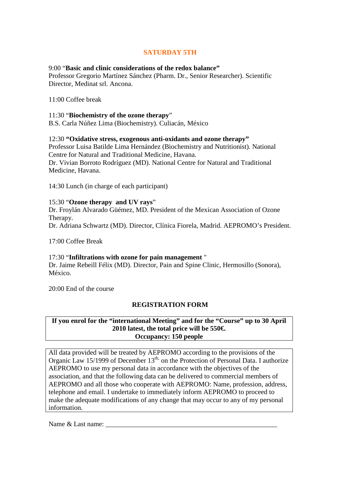# **SATURDAY 5TH**

## 9:00 "**Basic and clinic considerations of the redox balance"**

Professor Gregorio Martínez Sánchez (Pharm. Dr., Senior Researcher). Scientific Director, Medinat srl. Ancona.

## 11:00 Coffee break

### 11:30 "**Biochemistry of the ozone therapy**"

B.S. Carla Núñez Lima (Biochemistry). Culiacán, México

## 12:30 **"Oxidative stress, exogenous anti-oxidants and ozone therapy"**

Professor Luisa Batilde Lima Hernández (Biochemistry and Nutritionist). National Centre for Natural and Traditional Medicine, Havana. Dr. Vivian Borroto Rodríguez (MD). National Centre for Natural and Traditional Medicine, Havana.

14:30 Lunch (in charge of each participant)

### 15:30 "**Ozone therapy and UV rays**"

Dr. Froylán Alvarado Güémez, MD. President of the Mexican Association of Ozone Therapy.

Dr. Adriana Schwartz (MD). Director, Clínica Fiorela, Madrid. AEPROMO's President.

17:00 Coffee Break

# 17:30 "**Infiltrations with ozone for pain management** "

Dr. Jaime Rebeill Félix (MD). Director, Pain and Spine Clinic, Hermosillo (Sonora), México.

20:00 End of the course

# **REGISTRATION FORM**

## **If you enrol for the "international Meeting" and for the "Course" up to 30 April 2010 latest, the total price will be 550€. Occupancy: 150 people**

All data provided will be treated by AEPROMO according to the provisions of the Organic Law 15/1999 of December  $13<sup>th</sup>$ , on the Protection of Personal Data. I authorize AEPROMO to use my personal data in accordance with the objectives of the association, and that the following data can be delivered to commercial members of AEPROMO and all those who cooperate with AEPROMO: Name, profession, address, telephone and email. I undertake to immediately inform AEPROMO to proceed to make the adequate modifications of any change that may occur to any of my personal information.

Name & Last name: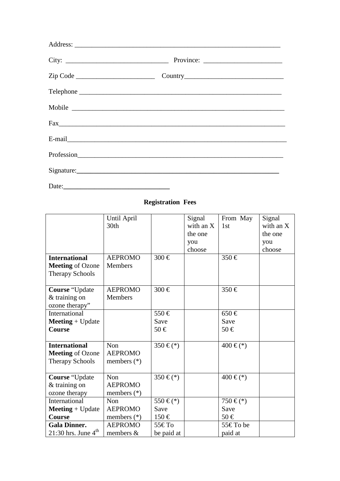| $\text{Fax}_{\text{max}}$ |
|---------------------------|
|                           |
|                           |
| Signature:                |
|                           |

# **Registration Fees**

|                                                                           | Until April<br>30th                           |                              | Signal<br>with an X<br>the one<br>you<br>choose | From May<br>1st            | Signal<br>with an X<br>the one<br>you<br>choose |
|---------------------------------------------------------------------------|-----------------------------------------------|------------------------------|-------------------------------------------------|----------------------------|-------------------------------------------------|
| <b>International</b><br><b>Meeting of Ozone</b><br><b>Therapy Schools</b> | <b>AEPROMO</b><br>Members                     | 300€                         |                                                 | 350 €                      |                                                 |
| <b>Course</b> "Update"<br>$&$ training on<br>ozone therapy"               | <b>AEPROMO</b><br><b>Members</b>              | 300€                         |                                                 | $350 \in$                  |                                                 |
| International<br>$Meeting + Update$<br>Course                             |                                               | 550€<br>Save<br>50€          |                                                 | $650 \in$<br>Save<br>50€   |                                                 |
| <b>International</b><br><b>Meeting of Ozone</b><br><b>Therapy Schools</b> | Non<br><b>AEPROMO</b><br>members $(*)$        | $350 \in (*)$                |                                                 | $400 \in (*)$              |                                                 |
| Course "Update"<br>$&$ training on<br>ozone therapy                       | <b>Non</b><br><b>AEPROMO</b><br>members $(*)$ | $350 \in (*)$                |                                                 | $400 \in (*)$              |                                                 |
| International<br>$Meeting + Update$<br><b>Course</b>                      | Non<br><b>AEPROMO</b><br>members $(*)$        | 550 € $(*)$<br>Save<br>150 € |                                                 | 750 € $(*)$<br>Save<br>50€ |                                                 |
| <b>Gala Dinner.</b><br>21:30 hrs. June $4th$                              | <b>AEPROMO</b><br>members $&$                 | 55€ То<br>be paid at         |                                                 | 55€ To be<br>paid at       |                                                 |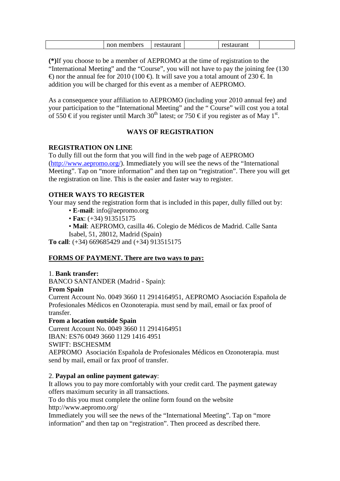| members<br>non | restaurant |  | --------<br>aurani |  |
|----------------|------------|--|--------------------|--|
|----------------|------------|--|--------------------|--|

**(\*)**If you choose to be a member of AEPROMO at the time of registration to the "International Meeting" and the "Course", you will not have to pay the joining fee (130 €) nor the annual fee for 2010 (100 €). It will save you a total amount of 230 €. In addition you will be charged for this event as a member of AEPROMO.

As a consequence your affiliation to AEPROMO (including your 2010 annual fee) and your participation to the "International Meeting" and the " Course" will cost you a total of 550  $\in$  if you register until March 30<sup>th</sup> latest; or 750  $\in$  if you register as of May  $f^t$ .

# **WAYS OF REGISTRATION**

# **REGISTRATION ON LINE**

To dully fill out the form that you will find in the web page of AEPROMO (http://www.aepromo.org/). Immediately you will see the news of the "International Meeting". Tap on "more information" and then tap on "registration". There you will get the registration on line. This is the easier and faster way to register.

# **OTHER WAYS TO REGISTER**

Your may send the registration form that is included in this paper, dully filled out by:

- **E-mail**: info@aepromo.org
- **Fax**: (+34) 913515175
- **Mail**: AEPROMO, casilla 46. Colegio de Médicos de Madrid. Calle Santa
- Isabel, 51, 28012, Madrid (Spain)

**To call**: (+34) 669685429 and (+34) 913515175

# **FORMS OF PAYMENT. There are two ways to pay:**

### 1. **Bank transfer:**

BANCO SANTANDER (Madrid - Spain):

### **From Spain**

Current Account No. 0049 3660 11 2914164951, AEPROMO Asociación Española de Profesionales Médicos en Ozonoterapia. must send by mail, email or fax proof of transfer.

### **From a location outside Spain**

Current Account No. 0049 3660 11 2914164951 IBAN: ES76 0049 3660 1129 1416 4951 SWIFT: BSCHESMM

AEPROMO Asociación Española de Profesionales Médicos en Ozonoterapia. must send by mail, email or fax proof of transfer.

# 2. **Paypal an online payment gateway**:

It allows you to pay more comfortably with your credit card. The payment gateway offers maximum security in all transactions.

To do this you must complete the online form found on the website http://www.aepromo.org/

Immediately you will see the news of the "International Meeting". Tap on "more information" and then tap on "registration". Then proceed as described there.